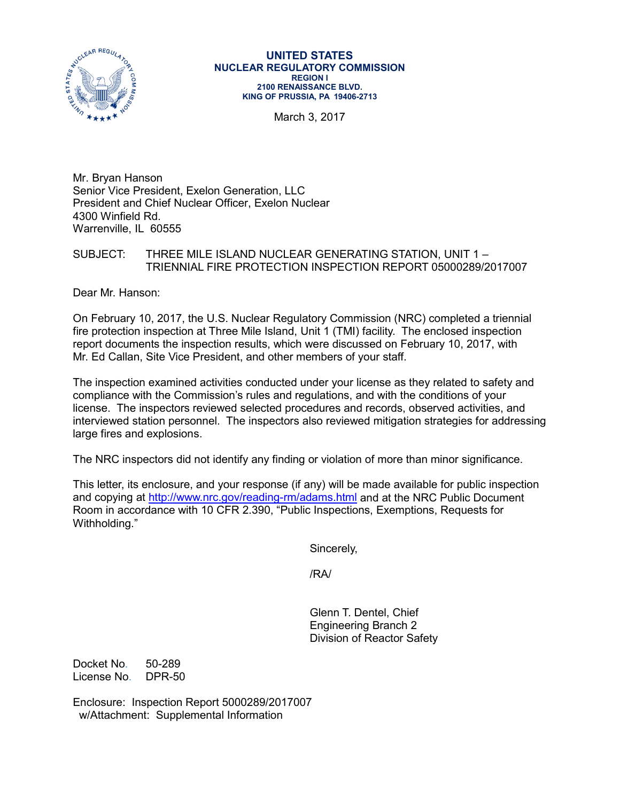

#### **UNITED STATES NUCLEAR REGULATORY COMMISSION REGION I 2100 RENAISSANCE BLVD. KING OF PRUSSIA, PA 19406-2713**

March 3, 2017

Mr. Bryan Hanson Senior Vice President, Exelon Generation, LLC President and Chief Nuclear Officer, Exelon Nuclear 4300 Winfield Rd. Warrenville, IL 60555

## SUBJECT: THREE MILE ISLAND NUCLEAR GENERATING STATION, UNIT 1 – TRIENNIAL FIRE PROTECTION INSPECTION REPORT 05000289/2017007

Dear Mr. Hanson:

On February 10, 2017, the U.S. Nuclear Regulatory Commission (NRC) completed a triennial fire protection inspection at Three Mile Island, Unit 1 (TMI) facility. The enclosed inspection report documents the inspection results, which were discussed on February 10, 2017, with Mr. Ed Callan, Site Vice President, and other members of your staff.

The inspection examined activities conducted under your license as they related to safety and compliance with the Commission's rules and regulations, and with the conditions of your license. The inspectors reviewed selected procedures and records, observed activities, and interviewed station personnel. The inspectors also reviewed mitigation strategies for addressing large fires and explosions.

The NRC inspectors did not identify any finding or violation of more than minor significance.

This letter, its enclosure, and your response (if any) will be made available for public inspection and copying at<http://www.nrc.gov/reading-rm/adams.html> and at the NRC Public Document Room in accordance with 10 CFR 2.390, "Public Inspections, Exemptions, Requests for Withholding."

Sincerely,

/RA/

Glenn T. Dentel, Chief Engineering Branch 2 Division of Reactor Safety

Docket No. 50-289 License No. DPR-50

Enclosure: Inspection Report 5000289/2017007 w/Attachment: Supplemental Information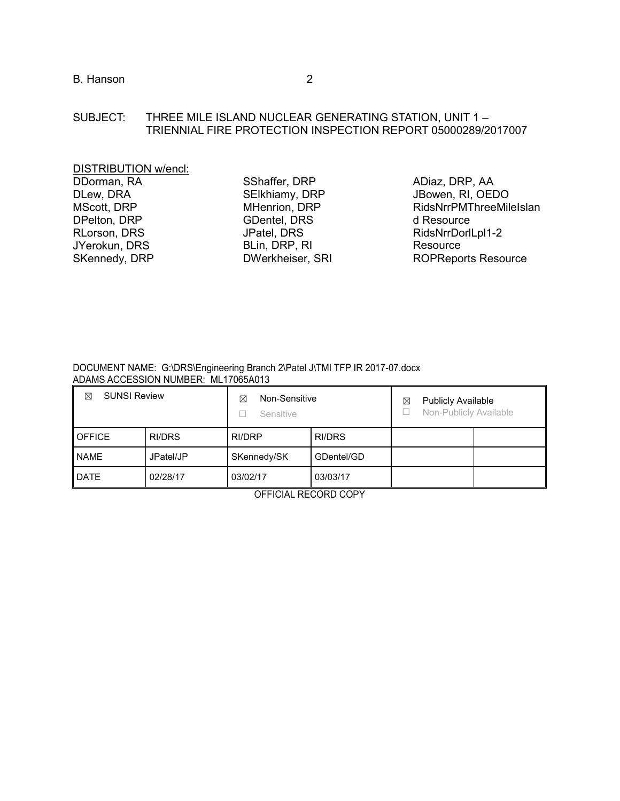# SUBJECT: THREE MILE ISLAND NUCLEAR GENERATING STATION, UNIT 1 – TRIENNIAL FIRE PROTECTION INSPECTION REPORT 05000289/2017007

| SShaffer, DRP    | ADiaz, DRP, AA             |
|------------------|----------------------------|
| SElkhiamy, DRP   | JBowen, RI, OEDO           |
| MHenrion, DRP    | RidsNrrPMThreeMileIslan    |
| GDentel, DRS     | d Resource                 |
| JPatel, DRS      | RidsNrrDorlLpl1-2          |
| BLin, DRP, RI    | Resource                   |
| DWerkheiser, SRI | <b>ROPReports Resource</b> |
|                  |                            |

#### DOCUMENT NAME: G:\DRS\Engineering Branch 2\Patel J\TMI TFP IR 2017-07.docx ADAMS ACCESSION NUMBER: ML17065A013

| <b>SUNSI Review</b><br>⊠ |           | Non-Sensitive<br>⊠<br>Sensitive |            | <b>Publicly Available</b><br>⊠<br>Non-Publicly Available |  |
|--------------------------|-----------|---------------------------------|------------|----------------------------------------------------------|--|
| <b>OFFICE</b>            | RI/DRS    | RI/DRP                          | RI/DRS     |                                                          |  |
| <b>NAME</b>              | JPatel/JP | SKennedy/SK                     | GDentel/GD |                                                          |  |
| <b>DATE</b>              | 02/28/17  | 03/02/17                        | 03/03/17   |                                                          |  |

OFFICIAL RECORD COPY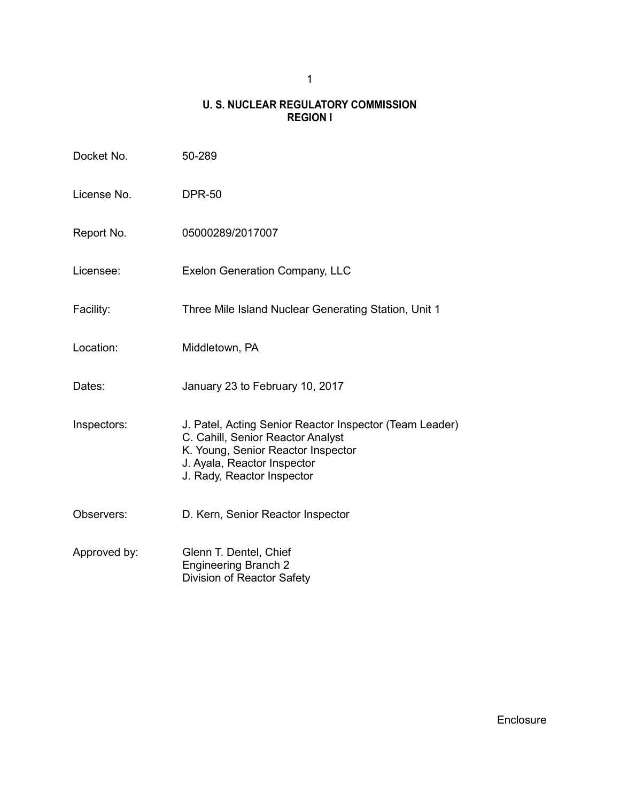# **U. S. NUCLEAR REGULATORY COMMISSION REGION I**

| Docket No.   | 50-289                                                                                                                                                                                          |
|--------------|-------------------------------------------------------------------------------------------------------------------------------------------------------------------------------------------------|
| License No.  | <b>DPR-50</b>                                                                                                                                                                                   |
| Report No.   | 05000289/2017007                                                                                                                                                                                |
| Licensee:    | Exelon Generation Company, LLC                                                                                                                                                                  |
| Facility:    | Three Mile Island Nuclear Generating Station, Unit 1                                                                                                                                            |
| Location:    | Middletown, PA                                                                                                                                                                                  |
| Dates:       | January 23 to February 10, 2017                                                                                                                                                                 |
| Inspectors:  | J. Patel, Acting Senior Reactor Inspector (Team Leader)<br>C. Cahill, Senior Reactor Analyst<br>K. Young, Senior Reactor Inspector<br>J. Ayala, Reactor Inspector<br>J. Rady, Reactor Inspector |
| Observers:   | D. Kern, Senior Reactor Inspector                                                                                                                                                               |
| Approved by: | Glenn T. Dentel, Chief<br><b>Engineering Branch 2</b><br>Division of Reactor Safety                                                                                                             |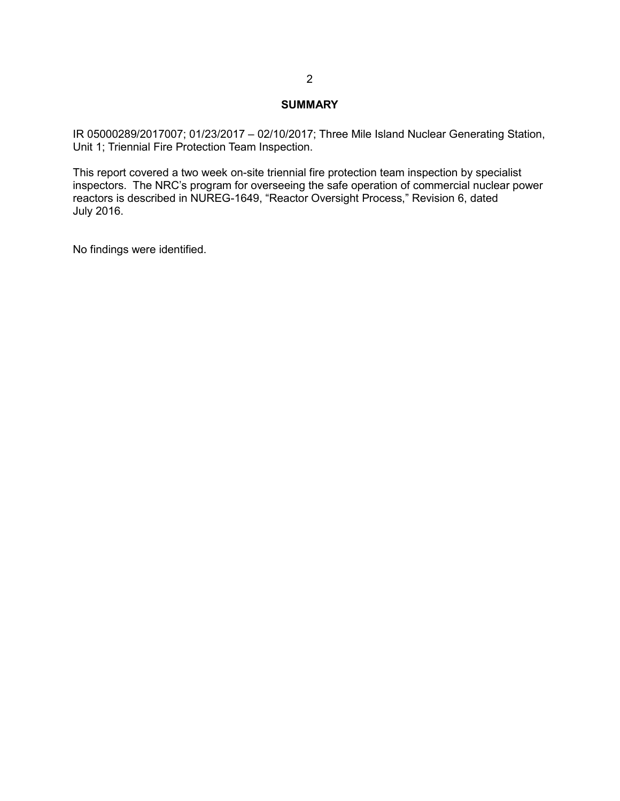### **SUMMARY**

IR 05000289/2017007; 01/23/2017 – 02/10/2017; Three Mile Island Nuclear Generating Station, Unit 1; Triennial Fire Protection Team Inspection.

This report covered a two week on-site triennial fire protection team inspection by specialist inspectors. The NRC's program for overseeing the safe operation of commercial nuclear power reactors is described in NUREG-1649, "Reactor Oversight Process," Revision 6, dated July 2016.

No findings were identified.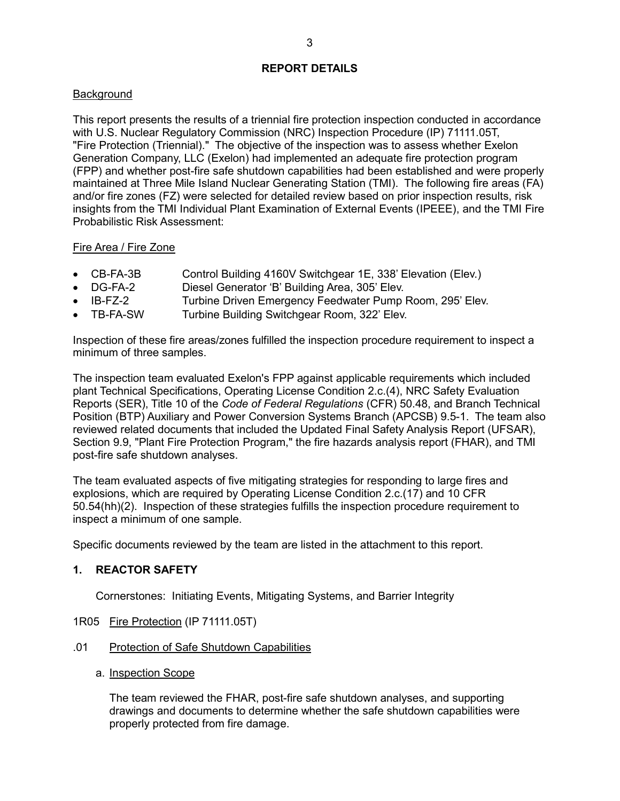## **REPORT DETAILS**

# **Background**

This report presents the results of a triennial fire protection inspection conducted in accordance with U.S. Nuclear Regulatory Commission (NRC) Inspection Procedure (IP) 71111.05T, "Fire Protection (Triennial)." The objective of the inspection was to assess whether Exelon Generation Company, LLC (Exelon) had implemented an adequate fire protection program (FPP) and whether post-fire safe shutdown capabilities had been established and were properly maintained at Three Mile Island Nuclear Generating Station (TMI). The following fire areas (FA) and/or fire zones (FZ) were selected for detailed review based on prior inspection results, risk insights from the TMI Individual Plant Examination of External Events (IPEEE), and the TMI Fire Probabilistic Risk Assessment:

# Fire Area / Fire Zone

- CB-FA-3B Control Building 4160V Switchgear 1E, 338' Elevation (Elev.)
- DG-FA-2 Diesel Generator 'B' Building Area, 305' Elev.
- IB-FZ-2 Turbine Driven Emergency Feedwater Pump Room, 295' Elev.
- TB-FA-SW Turbine Building Switchgear Room, 322' Elev.

Inspection of these fire areas/zones fulfilled the inspection procedure requirement to inspect a minimum of three samples.

The inspection team evaluated Exelon's FPP against applicable requirements which included plant Technical Specifications, Operating License Condition 2.c.(4), NRC Safety Evaluation Reports (SER), Title 10 of the *Code of Federal Regulations* (CFR) 50.48, and Branch Technical Position (BTP) Auxiliary and Power Conversion Systems Branch (APCSB) 9.5-1. The team also reviewed related documents that included the Updated Final Safety Analysis Report (UFSAR), Section 9.9, "Plant Fire Protection Program," the fire hazards analysis report (FHAR), and TMI post-fire safe shutdown analyses.

The team evaluated aspects of five mitigating strategies for responding to large fires and explosions, which are required by Operating License Condition 2.c.(17) and 10 CFR 50.54(hh)(2). Inspection of these strategies fulfills the inspection procedure requirement to inspect a minimum of one sample.

Specific documents reviewed by the team are listed in the attachment to this report.

# **1. REACTOR SAFETY**

Cornerstones: Initiating Events, Mitigating Systems, and Barrier Integrity

- 1R05 Fire Protection (IP 71111.05T)
- .01 Protection of Safe Shutdown Capabilities
	- a. Inspection Scope

The team reviewed the FHAR, post-fire safe shutdown analyses, and supporting drawings and documents to determine whether the safe shutdown capabilities were properly protected from fire damage.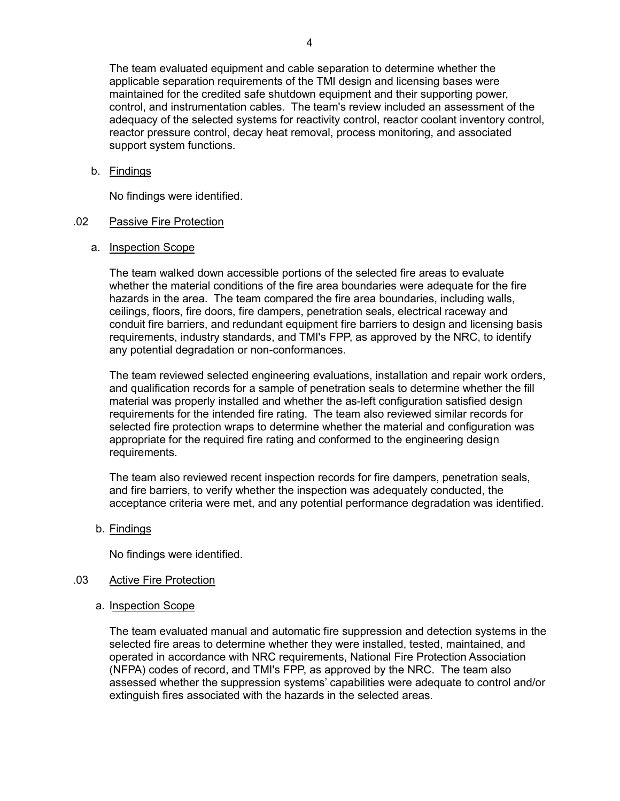The team evaluated equipment and cable separation to determine whether the applicable separation requirements of the TMI design and licensing bases were maintained for the credited safe shutdown equipment and their supporting power, control, and instrumentation cables. The team's review included an assessment of the adequacy of the selected systems for reactivity control, reactor coolant inventory control, reactor pressure control, decay heat removal, process monitoring, and associated support system functions.

### b. Findings

No findings were identified.

#### .02 Passive Fire Protection

#### a. Inspection Scope

The team walked down accessible portions of the selected fire areas to evaluate whether the material conditions of the fire area boundaries were adequate for the fire hazards in the area. The team compared the fire area boundaries, including walls, ceilings, floors, fire doors, fire dampers, penetration seals, electrical raceway and conduit fire barriers, and redundant equipment fire barriers to design and licensing basis requirements, industry standards, and TMI's FPP, as approved by the NRC, to identify any potential degradation or non-conformances.

The team reviewed selected engineering evaluations, installation and repair work orders, and qualification records for a sample of penetration seals to determine whether the fill material was properly installed and whether the as-left configuration satisfied design requirements for the intended fire rating. The team also reviewed similar records for selected fire protection wraps to determine whether the material and configuration was appropriate for the required fire rating and conformed to the engineering design requirements.

The team also reviewed recent inspection records for fire dampers, penetration seals, and fire barriers, to verify whether the inspection was adequately conducted, the acceptance criteria were met, and any potential performance degradation was identified.

### b. Findings

No findings were identified.

#### .03 Active Fire Protection

a. Inspection Scope

The team evaluated manual and automatic fire suppression and detection systems in the selected fire areas to determine whether they were installed, tested, maintained, and operated in accordance with NRC requirements, National Fire Protection Association (NFPA) codes of record, and TMI's FPP, as approved by the NRC. The team also assessed whether the suppression systems' capabilities were adequate to control and/or extinguish fires associated with the hazards in the selected areas.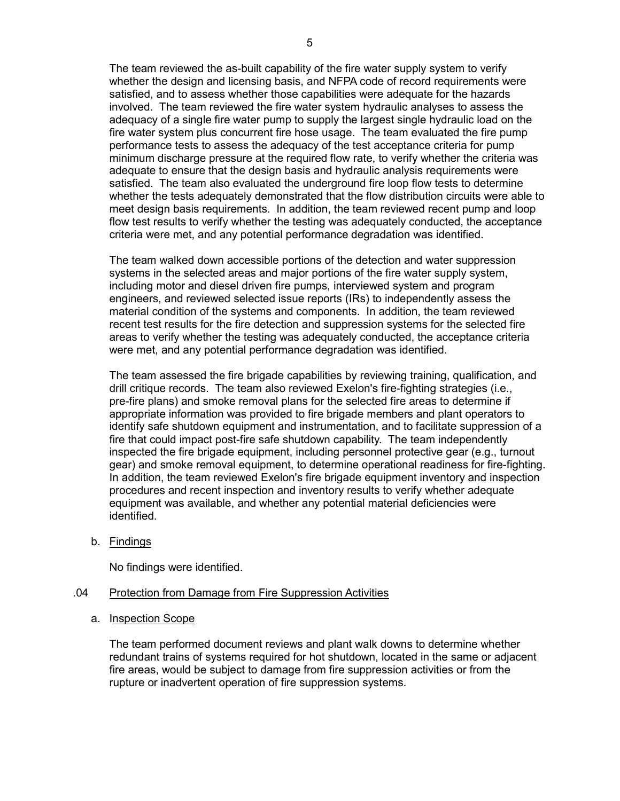The team reviewed the as-built capability of the fire water supply system to verify whether the design and licensing basis, and NFPA code of record requirements were satisfied, and to assess whether those capabilities were adequate for the hazards involved. The team reviewed the fire water system hydraulic analyses to assess the adequacy of a single fire water pump to supply the largest single hydraulic load on the fire water system plus concurrent fire hose usage. The team evaluated the fire pump performance tests to assess the adequacy of the test acceptance criteria for pump minimum discharge pressure at the required flow rate, to verify whether the criteria was adequate to ensure that the design basis and hydraulic analysis requirements were satisfied. The team also evaluated the underground fire loop flow tests to determine whether the tests adequately demonstrated that the flow distribution circuits were able to meet design basis requirements. In addition, the team reviewed recent pump and loop flow test results to verify whether the testing was adequately conducted, the acceptance criteria were met, and any potential performance degradation was identified.

The team walked down accessible portions of the detection and water suppression systems in the selected areas and major portions of the fire water supply system, including motor and diesel driven fire pumps, interviewed system and program engineers, and reviewed selected issue reports (IRs) to independently assess the material condition of the systems and components. In addition, the team reviewed recent test results for the fire detection and suppression systems for the selected fire areas to verify whether the testing was adequately conducted, the acceptance criteria were met, and any potential performance degradation was identified.

The team assessed the fire brigade capabilities by reviewing training, qualification, and drill critique records. The team also reviewed Exelon's fire-fighting strategies (i.e., pre-fire plans) and smoke removal plans for the selected fire areas to determine if appropriate information was provided to fire brigade members and plant operators to identify safe shutdown equipment and instrumentation, and to facilitate suppression of a fire that could impact post-fire safe shutdown capability. The team independently inspected the fire brigade equipment, including personnel protective gear (e.g., turnout gear) and smoke removal equipment, to determine operational readiness for fire-fighting. In addition, the team reviewed Exelon's fire brigade equipment inventory and inspection procedures and recent inspection and inventory results to verify whether adequate equipment was available, and whether any potential material deficiencies were identified.

b. Findings

No findings were identified.

#### .04 Protection from Damage from Fire Suppression Activities

a. Inspection Scope

The team performed document reviews and plant walk downs to determine whether redundant trains of systems required for hot shutdown, located in the same or adjacent fire areas, would be subject to damage from fire suppression activities or from the rupture or inadvertent operation of fire suppression systems.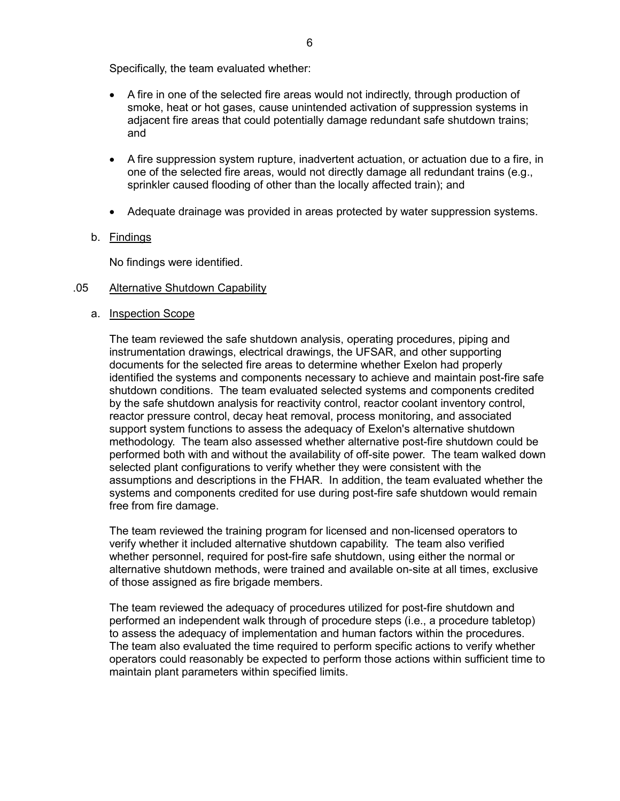Specifically, the team evaluated whether:

- A fire in one of the selected fire areas would not indirectly, through production of smoke, heat or hot gases, cause unintended activation of suppression systems in adjacent fire areas that could potentially damage redundant safe shutdown trains; and
- A fire suppression system rupture, inadvertent actuation, or actuation due to a fire, in one of the selected fire areas, would not directly damage all redundant trains (e.g., sprinkler caused flooding of other than the locally affected train); and
- Adequate drainage was provided in areas protected by water suppression systems.

## b. Findings

No findings were identified.

### .05 Alternative Shutdown Capability

### a. Inspection Scope

The team reviewed the safe shutdown analysis, operating procedures, piping and instrumentation drawings, electrical drawings, the UFSAR, and other supporting documents for the selected fire areas to determine whether Exelon had properly identified the systems and components necessary to achieve and maintain post-fire safe shutdown conditions. The team evaluated selected systems and components credited by the safe shutdown analysis for reactivity control, reactor coolant inventory control, reactor pressure control, decay heat removal, process monitoring, and associated support system functions to assess the adequacy of Exelon's alternative shutdown methodology. The team also assessed whether alternative post-fire shutdown could be performed both with and without the availability of off-site power. The team walked down selected plant configurations to verify whether they were consistent with the assumptions and descriptions in the FHAR. In addition, the team evaluated whether the systems and components credited for use during post-fire safe shutdown would remain free from fire damage.

The team reviewed the training program for licensed and non-licensed operators to verify whether it included alternative shutdown capability. The team also verified whether personnel, required for post-fire safe shutdown, using either the normal or alternative shutdown methods, were trained and available on-site at all times, exclusive of those assigned as fire brigade members.

The team reviewed the adequacy of procedures utilized for post-fire shutdown and performed an independent walk through of procedure steps (i.e., a procedure tabletop) to assess the adequacy of implementation and human factors within the procedures. The team also evaluated the time required to perform specific actions to verify whether operators could reasonably be expected to perform those actions within sufficient time to maintain plant parameters within specified limits.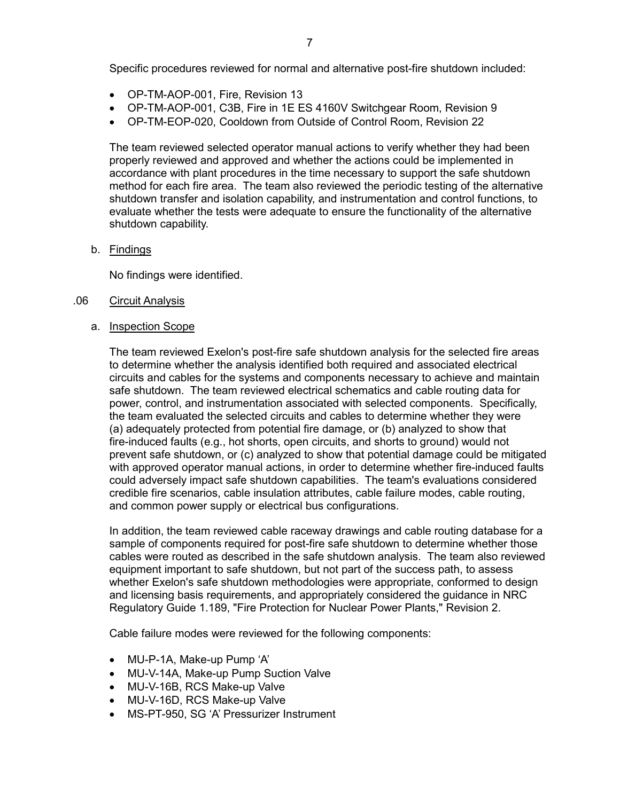Specific procedures reviewed for normal and alternative post-fire shutdown included:

- OP-TM-AOP-001, Fire, Revision 13
- OP-TM-AOP-001, C3B, Fire in 1E ES 4160V Switchgear Room, Revision 9
- OP-TM-EOP-020, Cooldown from Outside of Control Room, Revision 22

The team reviewed selected operator manual actions to verify whether they had been properly reviewed and approved and whether the actions could be implemented in accordance with plant procedures in the time necessary to support the safe shutdown method for each fire area. The team also reviewed the periodic testing of the alternative shutdown transfer and isolation capability, and instrumentation and control functions, to evaluate whether the tests were adequate to ensure the functionality of the alternative shutdown capability.

#### b. Findings

No findings were identified.

#### .06 Circuit Analysis

#### a. Inspection Scope

The team reviewed Exelon's post-fire safe shutdown analysis for the selected fire areas to determine whether the analysis identified both required and associated electrical circuits and cables for the systems and components necessary to achieve and maintain safe shutdown. The team reviewed electrical schematics and cable routing data for power, control, and instrumentation associated with selected components. Specifically, the team evaluated the selected circuits and cables to determine whether they were (a) adequately protected from potential fire damage, or (b) analyzed to show that fire-induced faults (e.g., hot shorts, open circuits, and shorts to ground) would not prevent safe shutdown, or (c) analyzed to show that potential damage could be mitigated with approved operator manual actions, in order to determine whether fire-induced faults could adversely impact safe shutdown capabilities. The team's evaluations considered credible fire scenarios, cable insulation attributes, cable failure modes, cable routing, and common power supply or electrical bus configurations.

In addition, the team reviewed cable raceway drawings and cable routing database for a sample of components required for post-fire safe shutdown to determine whether those cables were routed as described in the safe shutdown analysis. The team also reviewed equipment important to safe shutdown, but not part of the success path, to assess whether Exelon's safe shutdown methodologies were appropriate, conformed to design and licensing basis requirements, and appropriately considered the guidance in NRC Regulatory Guide 1.189, "Fire Protection for Nuclear Power Plants," Revision 2.

Cable failure modes were reviewed for the following components:

- MU-P-1A, Make-up Pump 'A'
- MU-V-14A, Make-up Pump Suction Valve
- MU-V-16B, RCS Make-up Valve
- MU-V-16D, RCS Make-up Valve
- MS-PT-950, SG 'A' Pressurizer Instrument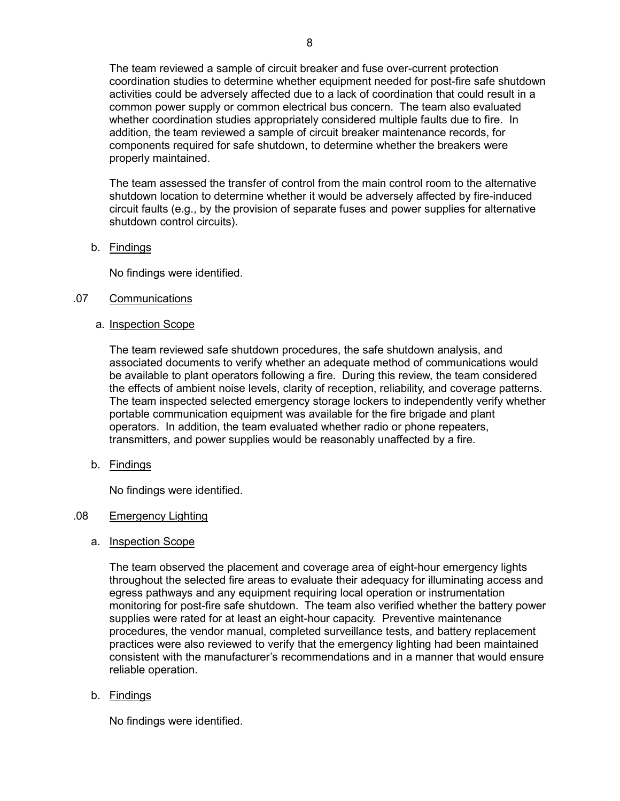The team reviewed a sample of circuit breaker and fuse over-current protection coordination studies to determine whether equipment needed for post-fire safe shutdown activities could be adversely affected due to a lack of coordination that could result in a common power supply or common electrical bus concern. The team also evaluated whether coordination studies appropriately considered multiple faults due to fire. In addition, the team reviewed a sample of circuit breaker maintenance records, for components required for safe shutdown, to determine whether the breakers were properly maintained.

The team assessed the transfer of control from the main control room to the alternative shutdown location to determine whether it would be adversely affected by fire-induced circuit faults (e.g., by the provision of separate fuses and power supplies for alternative shutdown control circuits).

## b. Findings

No findings were identified.

## .07 Communications

### a. Inspection Scope

The team reviewed safe shutdown procedures, the safe shutdown analysis, and associated documents to verify whether an adequate method of communications would be available to plant operators following a fire. During this review, the team considered the effects of ambient noise levels, clarity of reception, reliability, and coverage patterns. The team inspected selected emergency storage lockers to independently verify whether portable communication equipment was available for the fire brigade and plant operators. In addition, the team evaluated whether radio or phone repeaters, transmitters, and power supplies would be reasonably unaffected by a fire.

b. Findings

No findings were identified.

### .08 Emergency Lighting

### a. Inspection Scope

The team observed the placement and coverage area of eight-hour emergency lights throughout the selected fire areas to evaluate their adequacy for illuminating access and egress pathways and any equipment requiring local operation or instrumentation monitoring for post-fire safe shutdown. The team also verified whether the battery power supplies were rated for at least an eight-hour capacity. Preventive maintenance procedures, the vendor manual, completed surveillance tests, and battery replacement practices were also reviewed to verify that the emergency lighting had been maintained consistent with the manufacturer's recommendations and in a manner that would ensure reliable operation.

# b. Findings

No findings were identified.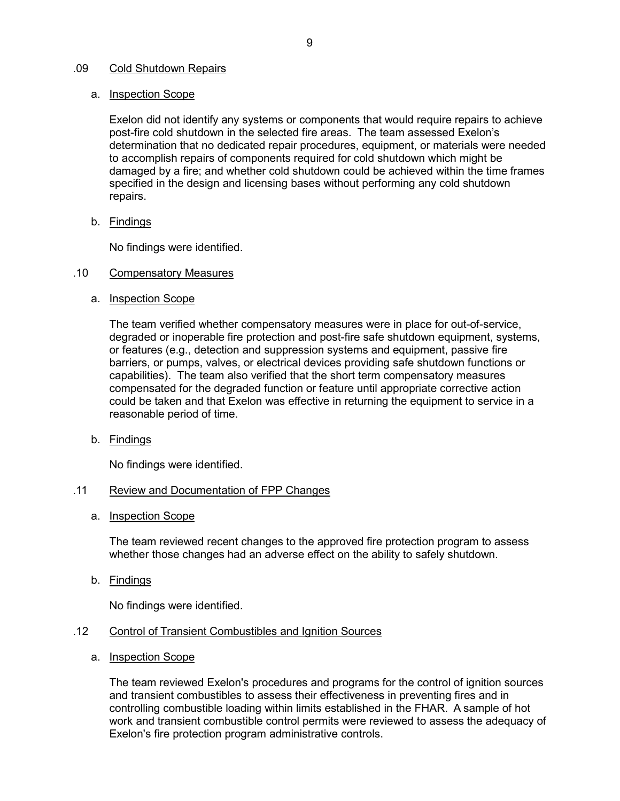### .09 Cold Shutdown Repairs

## a. Inspection Scope

Exelon did not identify any systems or components that would require repairs to achieve post-fire cold shutdown in the selected fire areas. The team assessed Exelon's determination that no dedicated repair procedures, equipment, or materials were needed to accomplish repairs of components required for cold shutdown which might be damaged by a fire; and whether cold shutdown could be achieved within the time frames specified in the design and licensing bases without performing any cold shutdown repairs.

b. Findings

No findings were identified.

### .10 Compensatory Measures

a. Inspection Scope

The team verified whether compensatory measures were in place for out-of-service, degraded or inoperable fire protection and post-fire safe shutdown equipment, systems, or features (e.g., detection and suppression systems and equipment, passive fire barriers, or pumps, valves, or electrical devices providing safe shutdown functions or capabilities). The team also verified that the short term compensatory measures compensated for the degraded function or feature until appropriate corrective action could be taken and that Exelon was effective in returning the equipment to service in a reasonable period of time.

b. Findings

No findings were identified.

### .11 Review and Documentation of FPP Changes

a. Inspection Scope

The team reviewed recent changes to the approved fire protection program to assess whether those changes had an adverse effect on the ability to safely shutdown.

b. Findings

No findings were identified.

- .12 Control of Transient Combustibles and Ignition Sources
	- a. Inspection Scope

The team reviewed Exelon's procedures and programs for the control of ignition sources and transient combustibles to assess their effectiveness in preventing fires and in controlling combustible loading within limits established in the FHAR. A sample of hot work and transient combustible control permits were reviewed to assess the adequacy of Exelon's fire protection program administrative controls.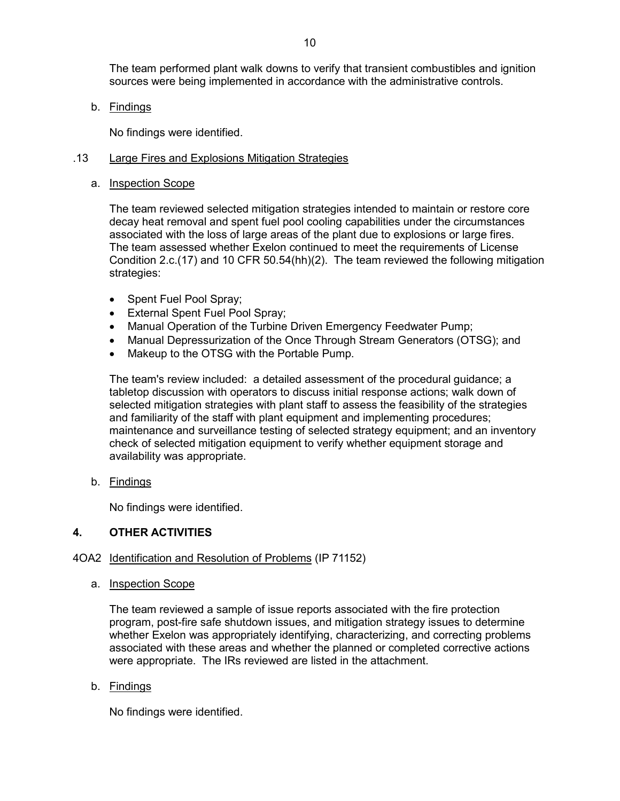The team performed plant walk downs to verify that transient combustibles and ignition sources were being implemented in accordance with the administrative controls.

b. Findings

No findings were identified.

## .13 Large Fires and Explosions Mitigation Strategies

a. Inspection Scope

The team reviewed selected mitigation strategies intended to maintain or restore core decay heat removal and spent fuel pool cooling capabilities under the circumstances associated with the loss of large areas of the plant due to explosions or large fires. The team assessed whether Exelon continued to meet the requirements of License Condition 2.c.(17) and 10 CFR 50.54(hh)(2). The team reviewed the following mitigation strategies:

- Spent Fuel Pool Spray;
- External Spent Fuel Pool Spray;
- Manual Operation of the Turbine Driven Emergency Feedwater Pump;
- Manual Depressurization of the Once Through Stream Generators (OTSG); and
- Makeup to the OTSG with the Portable Pump.

The team's review included: a detailed assessment of the procedural guidance; a tabletop discussion with operators to discuss initial response actions; walk down of selected mitigation strategies with plant staff to assess the feasibility of the strategies and familiarity of the staff with plant equipment and implementing procedures; maintenance and surveillance testing of selected strategy equipment; and an inventory check of selected mitigation equipment to verify whether equipment storage and availability was appropriate.

b. Findings

No findings were identified.

# **4. OTHER ACTIVITIES**

# 4OA2 Identification and Resolution of Problems (IP 71152)

a. Inspection Scope

The team reviewed a sample of issue reports associated with the fire protection program, post-fire safe shutdown issues, and mitigation strategy issues to determine whether Exelon was appropriately identifying, characterizing, and correcting problems associated with these areas and whether the planned or completed corrective actions were appropriate. The IRs reviewed are listed in the attachment.

b. Findings

No findings were identified.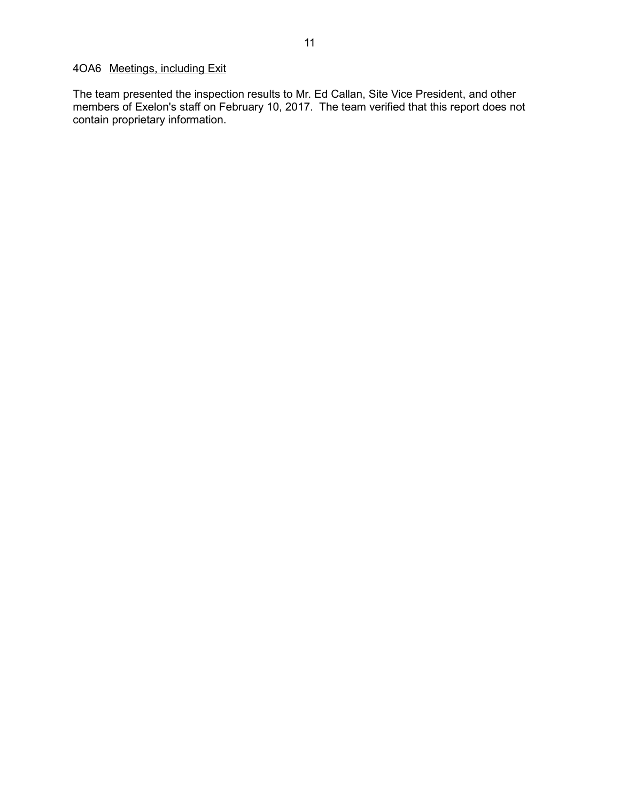# 4OA6 Meetings, including Exit

The team presented the inspection results to Mr. Ed Callan, Site Vice President, and other members of Exelon's staff on February 10, 2017. The team verified that this report does not contain proprietary information.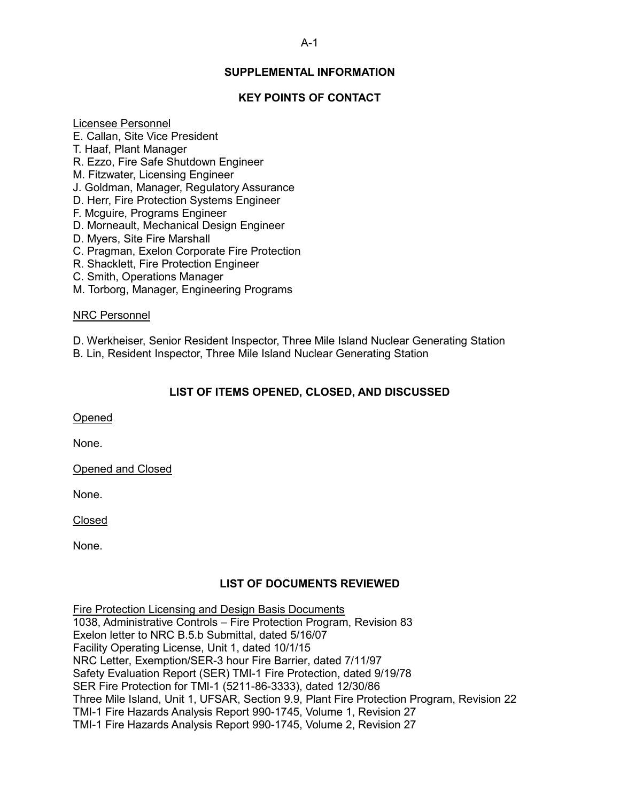# **SUPPLEMENTAL INFORMATION**

## **KEY POINTS OF CONTACT**

#### Licensee Personnel

- E. Callan, Site Vice President
- T. Haaf, Plant Manager
- R. Ezzo, Fire Safe Shutdown Engineer
- M. Fitzwater, Licensing Engineer
- J. Goldman, Manager, Regulatory Assurance
- D. Herr, Fire Protection Systems Engineer
- F. Mcguire, Programs Engineer
- D. Morneault, Mechanical Design Engineer
- D. Myers, Site Fire Marshall
- C. Pragman, Exelon Corporate Fire Protection
- R. Shacklett, Fire Protection Engineer
- C. Smith, Operations Manager
- M. Torborg, Manager, Engineering Programs

#### NRC Personnel

D. Werkheiser, Senior Resident Inspector, Three Mile Island Nuclear Generating Station

B. Lin, Resident Inspector, Three Mile Island Nuclear Generating Station

## **LIST OF ITEMS OPENED, CLOSED, AND DISCUSSED**

Opened

None.

Opened and Closed

None.

Closed

None.

## **LIST OF DOCUMENTS REVIEWED**

Fire Protection Licensing and Design Basis Documents

1038, Administrative Controls – Fire Protection Program, Revision 83 Exelon letter to NRC B.5.b Submittal, dated 5/16/07 Facility Operating License, Unit 1, dated 10/1/15 NRC Letter, Exemption/SER-3 hour Fire Barrier, dated 7/11/97 Safety Evaluation Report (SER) TMI-1 Fire Protection, dated 9/19/78 SER Fire Protection for TMI-1 (5211-86-3333), dated 12/30/86 Three Mile Island, Unit 1, UFSAR, Section 9.9, Plant Fire Protection Program, Revision 22 TMI-1 Fire Hazards Analysis Report 990-1745, Volume 1, Revision 27 TMI-1 Fire Hazards Analysis Report 990-1745, Volume 2, Revision 27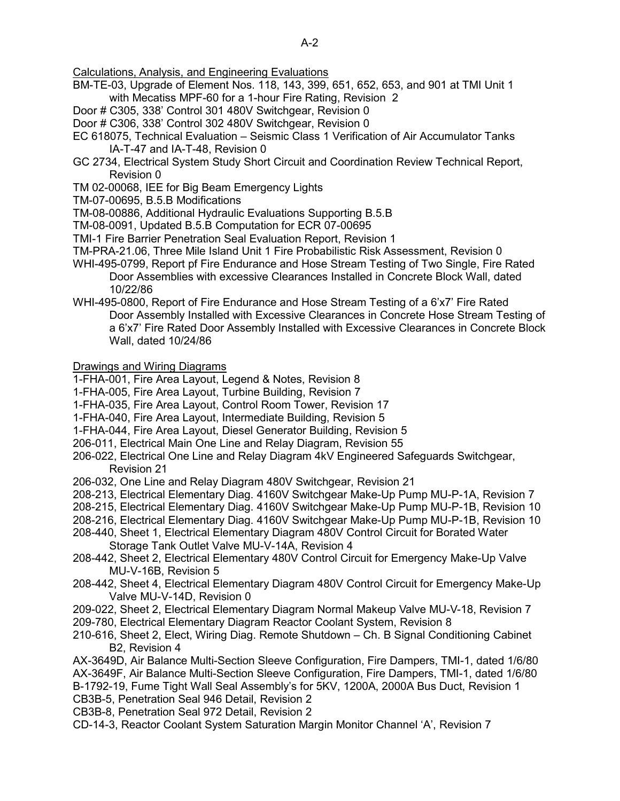Calculations, Analysis, and Engineering Evaluations

- BM-TE-03, Upgrade of Element Nos. 118, 143, 399, 651, 652, 653, and 901 at TMI Unit 1 with Mecatiss MPF-60 for a 1-hour Fire Rating, Revision 2
- Door # C305, 338' Control 301 480V Switchgear, Revision 0
- Door # C306, 338' Control 302 480V Switchgear, Revision 0
- EC 618075, Technical Evaluation Seismic Class 1 Verification of Air Accumulator Tanks IA-T-47 and IA-T-48, Revision 0
- GC 2734, Electrical System Study Short Circuit and Coordination Review Technical Report, Revision 0
- TM 02-00068, IEE for Big Beam Emergency Lights
- TM-07-00695, B.5.B Modifications
- TM-08-00886, Additional Hydraulic Evaluations Supporting B.5.B
- TM-08-0091, Updated B.5.B Computation for ECR 07-00695
- TMI-1 Fire Barrier Penetration Seal Evaluation Report, Revision 1
- TM-PRA-21.06, Three Mile Island Unit 1 Fire Probabilistic Risk Assessment, Revision 0
- WHI-495-0799, Report pf Fire Endurance and Hose Stream Testing of Two Single, Fire Rated Door Assemblies with excessive Clearances Installed in Concrete Block Wall, dated 10/22/86
- WHI-495-0800, Report of Fire Endurance and Hose Stream Testing of a 6'x7' Fire Rated Door Assembly Installed with Excessive Clearances in Concrete Hose Stream Testing of a 6'x7' Fire Rated Door Assembly Installed with Excessive Clearances in Concrete Block Wall, dated 10/24/86

Drawings and Wiring Diagrams

- 1-FHA-001, Fire Area Layout, Legend & Notes, Revision 8
- 1-FHA-005, Fire Area Layout, Turbine Building, Revision 7
- 1-FHA-035, Fire Area Layout, Control Room Tower, Revision 17
- 1-FHA-040, Fire Area Layout, Intermediate Building, Revision 5
- 1-FHA-044, Fire Area Layout, Diesel Generator Building, Revision 5
- 206-011, Electrical Main One Line and Relay Diagram, Revision 55
- 206-022, Electrical One Line and Relay Diagram 4kV Engineered Safeguards Switchgear, Revision 21
- 206-032, One Line and Relay Diagram 480V Switchgear, Revision 21
- 208-213, Electrical Elementary Diag. 4160V Switchgear Make-Up Pump MU-P-1A, Revision 7
- 208-215, Electrical Elementary Diag. 4160V Switchgear Make-Up Pump MU-P-1B, Revision 10
- 208-216, Electrical Elementary Diag. 4160V Switchgear Make-Up Pump MU-P-1B, Revision 10
- 208-440, Sheet 1, Electrical Elementary Diagram 480V Control Circuit for Borated Water Storage Tank Outlet Valve MU-V-14A, Revision 4
- 208-442, Sheet 2, Electrical Elementary 480V Control Circuit for Emergency Make-Up Valve MU-V-16B, Revision 5
- 208-442, Sheet 4, Electrical Elementary Diagram 480V Control Circuit for Emergency Make-Up Valve MU-V-14D, Revision 0
- 209-022, Sheet 2, Electrical Elementary Diagram Normal Makeup Valve MU-V-18, Revision 7
- 209-780, Electrical Elementary Diagram Reactor Coolant System, Revision 8
- 210-616, Sheet 2, Elect, Wiring Diag. Remote Shutdown Ch. B Signal Conditioning Cabinet B2, Revision 4

AX-3649D, Air Balance Multi-Section Sleeve Configuration, Fire Dampers, TMI-1, dated 1/6/80 AX-3649F, Air Balance Multi-Section Sleeve Configuration, Fire Dampers, TMI-1, dated 1/6/80 B-1792-19, Fume Tight Wall Seal Assembly's for 5KV, 1200A, 2000A Bus Duct, Revision 1 CB3B-5, Penetration Seal 946 Detail, Revision 2

- CB3B-8, Penetration Seal 972 Detail, Revision 2
- CD-14-3, Reactor Coolant System Saturation Margin Monitor Channel 'A', Revision 7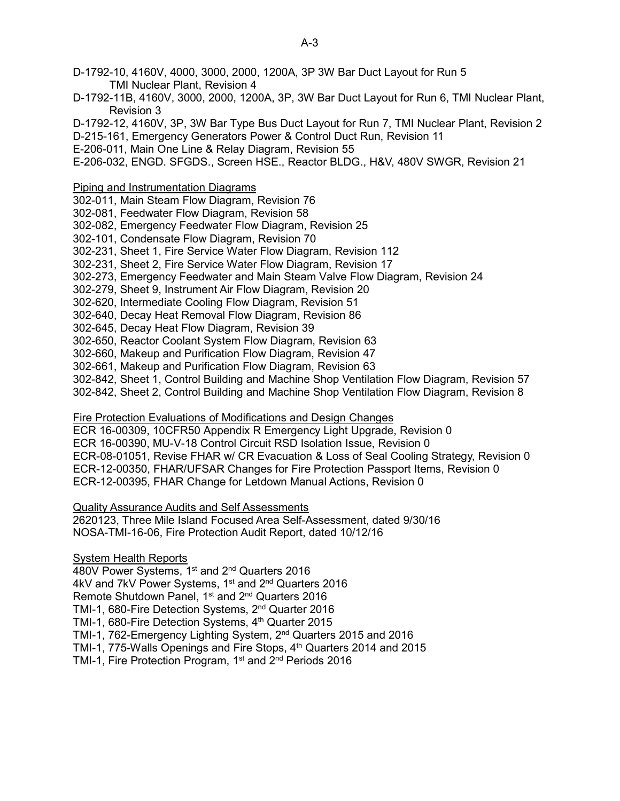- D-1792-11B, 4160V, 3000, 2000, 1200A, 3P, 3W Bar Duct Layout for Run 6, TMI Nuclear Plant, Revision 3
- D-1792-12, 4160V, 3P, 3W Bar Type Bus Duct Layout for Run 7, TMI Nuclear Plant, Revision 2
- D-215-161, Emergency Generators Power & Control Duct Run, Revision 11
- E-206-011, Main One Line & Relay Diagram, Revision 55
- E-206-032, ENGD. SFGDS., Screen HSE., Reactor BLDG., H&V, 480V SWGR, Revision 21
- Piping and Instrumentation Diagrams
- 302-011, Main Steam Flow Diagram, Revision 76
- 302-081, Feedwater Flow Diagram, Revision 58
- 302-082, Emergency Feedwater Flow Diagram, Revision 25
- 302-101, Condensate Flow Diagram, Revision 70
- 302-231, Sheet 1, Fire Service Water Flow Diagram, Revision 112
- 302-231, Sheet 2, Fire Service Water Flow Diagram, Revision 17
- 302-273, Emergency Feedwater and Main Steam Valve Flow Diagram, Revision 24
- 302-279, Sheet 9, Instrument Air Flow Diagram, Revision 20
- 302-620, Intermediate Cooling Flow Diagram, Revision 51
- 302-640, Decay Heat Removal Flow Diagram, Revision 86
- 302-645, Decay Heat Flow Diagram, Revision 39
- 302-650, Reactor Coolant System Flow Diagram, Revision 63
- 302-660, Makeup and Purification Flow Diagram, Revision 47
- 302-661, Makeup and Purification Flow Diagram, Revision 63
- 302-842, Sheet 1, Control Building and Machine Shop Ventilation Flow Diagram, Revision 57
- 302-842, Sheet 2, Control Building and Machine Shop Ventilation Flow Diagram, Revision 8
- Fire Protection Evaluations of Modifications and Design Changes
- ECR 16-00309, 10CFR50 Appendix R Emergency Light Upgrade, Revision 0
- ECR 16-00390, MU-V-18 Control Circuit RSD Isolation Issue, Revision 0
- ECR-08-01051, Revise FHAR w/ CR Evacuation & Loss of Seal Cooling Strategy, Revision 0
- ECR-12-00350, FHAR/UFSAR Changes for Fire Protection Passport Items, Revision 0
- ECR-12-00395, FHAR Change for Letdown Manual Actions, Revision 0
- Quality Assurance Audits and Self Assessments
- 2620123, Three Mile Island Focused Area Self-Assessment, dated 9/30/16 NOSA-TMI-16-06, Fire Protection Audit Report, dated 10/12/16
- System Health Reports
- 480V Power Systems, 1<sup>st</sup> and 2<sup>nd</sup> Quarters 2016
- 4kV and 7kV Power Systems, 1<sup>st</sup> and 2<sup>nd</sup> Quarters 2016
- Remote Shutdown Panel, 1<sup>st</sup> and 2<sup>nd</sup> Quarters 2016
- TMI-1, 680-Fire Detection Systems, 2nd Quarter 2016
- TMI-1, 680-Fire Detection Systems, 4<sup>th</sup> Quarter 2015
- TMI-1, 762-Emergency Lighting System, 2nd Quarters 2015 and 2016
- TMI-1, 775-Walls Openings and Fire Stops, 4<sup>th</sup> Quarters 2014 and 2015
- TMI-1, Fire Protection Program, 1<sup>st</sup> and 2<sup>nd</sup> Periods 2016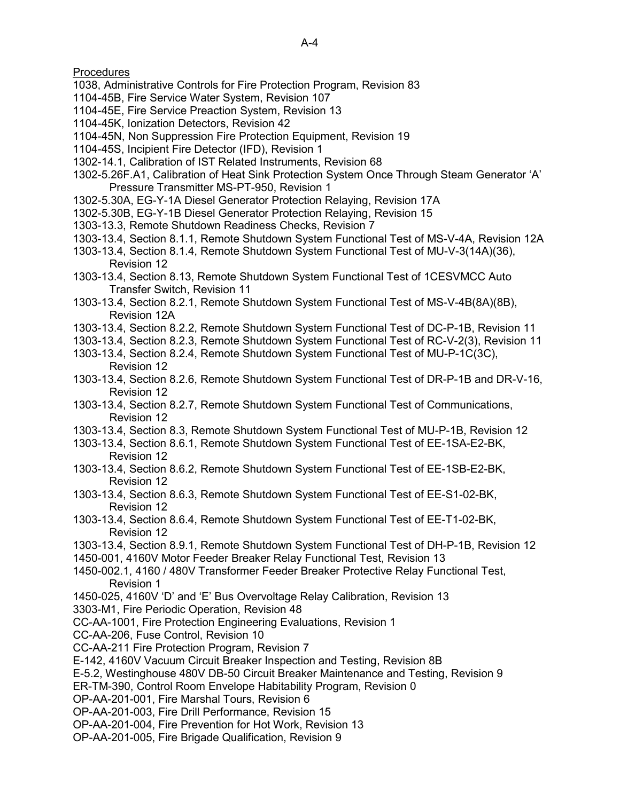**Procedures** 

- 1038, Administrative Controls for Fire Protection Program, Revision 83
- 1104-45B, Fire Service Water System, Revision 107
- 1104-45E, Fire Service Preaction System, Revision 13
- 1104-45K, Ionization Detectors, Revision 42
- 1104-45N, Non Suppression Fire Protection Equipment, Revision 19
- 1104-45S, Incipient Fire Detector (IFD), Revision 1
- 1302-14.1, Calibration of IST Related Instruments, Revision 68
- 1302-5.26F.A1, Calibration of Heat Sink Protection System Once Through Steam Generator 'A' Pressure Transmitter MS-PT-950, Revision 1
- 1302-5.30A, EG-Y-1A Diesel Generator Protection Relaying, Revision 17A
- 1302-5.30B, EG-Y-1B Diesel Generator Protection Relaying, Revision 15
- 1303-13.3, Remote Shutdown Readiness Checks, Revision 7
- 1303-13.4, Section 8.1.1, Remote Shutdown System Functional Test of MS-V-4A, Revision 12A
- 1303-13.4, Section 8.1.4, Remote Shutdown System Functional Test of MU-V-3(14A)(36), Revision 12
- 1303-13.4, Section 8.13, Remote Shutdown System Functional Test of 1CESVMCC Auto Transfer Switch, Revision 11
- 1303-13.4, Section 8.2.1, Remote Shutdown System Functional Test of MS-V-4B(8A)(8B), Revision 12A
- 1303-13.4, Section 8.2.2, Remote Shutdown System Functional Test of DC-P-1B, Revision 11
- 1303-13.4, Section 8.2.3, Remote Shutdown System Functional Test of RC-V-2(3), Revision 11
- 1303-13.4, Section 8.2.4, Remote Shutdown System Functional Test of MU-P-1C(3C), Revision 12
- 1303-13.4, Section 8.2.6, Remote Shutdown System Functional Test of DR-P-1B and DR-V-16, Revision 12
- 1303-13.4, Section 8.2.7, Remote Shutdown System Functional Test of Communications, Revision 12
- 1303-13.4, Section 8.3, Remote Shutdown System Functional Test of MU-P-1B, Revision 12
- 1303-13.4, Section 8.6.1, Remote Shutdown System Functional Test of EE-1SA-E2-BK, Revision 12
- 1303-13.4, Section 8.6.2, Remote Shutdown System Functional Test of EE-1SB-E2-BK, Revision 12
- 1303-13.4, Section 8.6.3, Remote Shutdown System Functional Test of EE-S1-02-BK, Revision 12
- 1303-13.4, Section 8.6.4, Remote Shutdown System Functional Test of EE-T1-02-BK, Revision 12
- 1303-13.4, Section 8.9.1, Remote Shutdown System Functional Test of DH-P-1B, Revision 12
- 1450-001, 4160V Motor Feeder Breaker Relay Functional Test, Revision 13
- 1450-002.1, 4160 / 480V Transformer Feeder Breaker Protective Relay Functional Test, Revision 1
- 1450-025, 4160V 'D' and 'E' Bus Overvoltage Relay Calibration, Revision 13
- 3303-M1, Fire Periodic Operation, Revision 48
- CC-AA-1001, Fire Protection Engineering Evaluations, Revision 1
- CC-AA-206, Fuse Control, Revision 10
- CC-AA-211 Fire Protection Program, Revision 7
- E-142, 4160V Vacuum Circuit Breaker Inspection and Testing, Revision 8B
- E-5.2, Westinghouse 480V DB-50 Circuit Breaker Maintenance and Testing, Revision 9
- ER-TM-390, Control Room Envelope Habitability Program, Revision 0
- OP-AA-201-001, Fire Marshal Tours, Revision 6
- OP-AA-201-003, Fire Drill Performance, Revision 15
- OP-AA-201-004, Fire Prevention for Hot Work, Revision 13
- OP-AA-201-005, Fire Brigade Qualification, Revision 9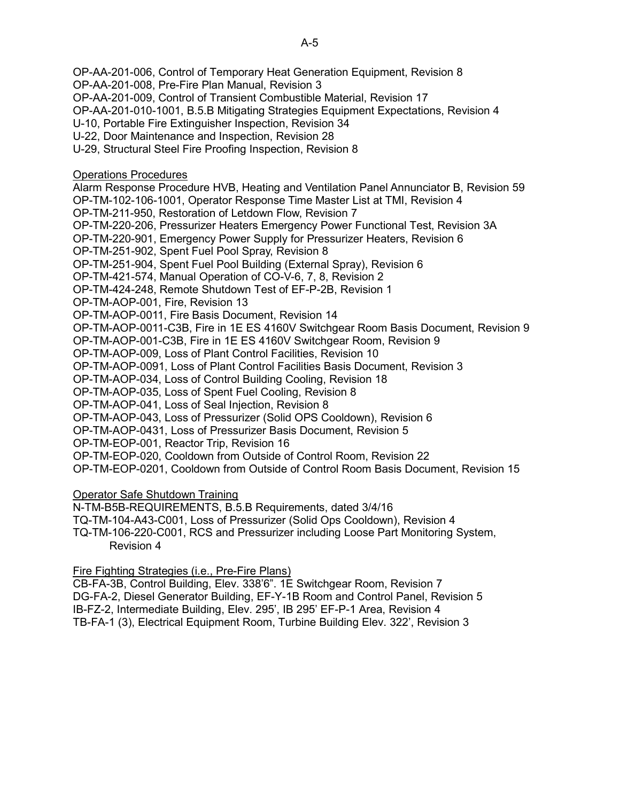OP-AA-201-006, Control of Temporary Heat Generation Equipment, Revision 8

OP-AA-201-008, Pre-Fire Plan Manual, Revision 3

OP-AA-201-009, Control of Transient Combustible Material, Revision 17

OP-AA-201-010-1001, B.5.B Mitigating Strategies Equipment Expectations, Revision 4

U-10, Portable Fire Extinguisher Inspection, Revision 34

U-22, Door Maintenance and Inspection, Revision 28

U-29, Structural Steel Fire Proofing Inspection, Revision 8

Operations Procedures

Alarm Response Procedure HVB, Heating and Ventilation Panel Annunciator B, Revision 59

OP-TM-102-106-1001, Operator Response Time Master List at TMI, Revision 4

OP-TM-211-950, Restoration of Letdown Flow, Revision 7

OP-TM-220-206, Pressurizer Heaters Emergency Power Functional Test, Revision 3A

OP-TM-220-901, Emergency Power Supply for Pressurizer Heaters, Revision 6

OP-TM-251-902, Spent Fuel Pool Spray, Revision 8

OP-TM-251-904, Spent Fuel Pool Building (External Spray), Revision 6

OP-TM-421-574, Manual Operation of CO-V-6, 7, 8, Revision 2

OP-TM-424-248, Remote Shutdown Test of EF-P-2B, Revision 1

OP-TM-AOP-001, Fire, Revision 13

OP-TM-AOP-0011, Fire Basis Document, Revision 14

OP-TM-AOP-0011-C3B, Fire in 1E ES 4160V Switchgear Room Basis Document, Revision 9

OP-TM-AOP-001-C3B, Fire in 1E ES 4160V Switchgear Room, Revision 9

OP-TM-AOP-009, Loss of Plant Control Facilities, Revision 10

OP-TM-AOP-0091, Loss of Plant Control Facilities Basis Document, Revision 3

OP-TM-AOP-034, Loss of Control Building Cooling, Revision 18

OP-TM-AOP-035, Loss of Spent Fuel Cooling, Revision 8

OP-TM-AOP-041, Loss of Seal Injection, Revision 8

OP-TM-AOP-043, Loss of Pressurizer (Solid OPS Cooldown), Revision 6

OP-TM-AOP-0431, Loss of Pressurizer Basis Document, Revision 5

OP-TM-EOP-001, Reactor Trip, Revision 16

OP-TM-EOP-020, Cooldown from Outside of Control Room, Revision 22

OP-TM-EOP-0201, Cooldown from Outside of Control Room Basis Document, Revision 15

Operator Safe Shutdown Training

N-TM-B5B-REQUIREMENTS, B.5.B Requirements, dated 3/4/16

TQ-TM-104-A43-C001, Loss of Pressurizer (Solid Ops Cooldown), Revision 4

TQ-TM-106-220-C001, RCS and Pressurizer including Loose Part Monitoring System, Revision 4

# Fire Fighting Strategies (i.e., Pre-Fire Plans)

CB-FA-3B, Control Building, Elev. 338'6". 1E Switchgear Room, Revision 7 DG-FA-2, Diesel Generator Building, EF-Y-1B Room and Control Panel, Revision 5 IB-FZ-2, Intermediate Building, Elev. 295', IB 295' EF-P-1 Area, Revision 4 TB-FA-1 (3), Electrical Equipment Room, Turbine Building Elev. 322', Revision 3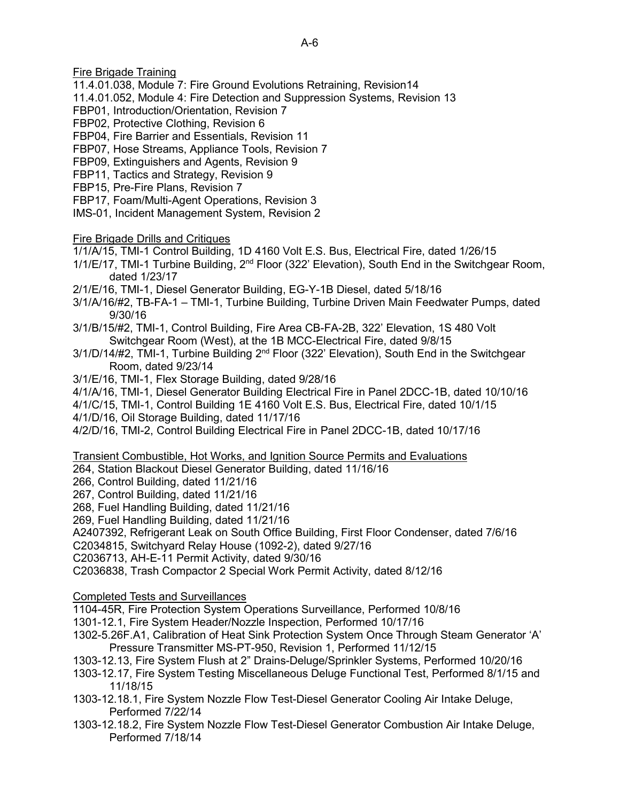Fire Brigade Training

- 11.4.01.038, Module 7: Fire Ground Evolutions Retraining, Revision14
- 11.4.01.052, Module 4: Fire Detection and Suppression Systems, Revision 13
- FBP01, Introduction/Orientation, Revision 7
- FBP02, Protective Clothing, Revision 6
- FBP04, Fire Barrier and Essentials, Revision 11
- FBP07, Hose Streams, Appliance Tools, Revision 7
- FBP09, Extinguishers and Agents, Revision 9
- FBP11, Tactics and Strategy, Revision 9
- FBP15, Pre-Fire Plans, Revision 7
- FBP17, Foam/Multi-Agent Operations, Revision 3
- IMS-01, Incident Management System, Revision 2
- Fire Brigade Drills and Critiques
- 1/1/A/15, TMI-1 Control Building, 1D 4160 Volt E.S. Bus, Electrical Fire, dated 1/26/15
- 1/1/E/17, TMI-1 Turbine Building, 2nd Floor (322' Elevation), South End in the Switchgear Room, dated 1/23/17
- 2/1/E/16, TMI-1, Diesel Generator Building, EG-Y-1B Diesel, dated 5/18/16
- 3/1/A/16/#2, TB-FA-1 TMI-1, Turbine Building, Turbine Driven Main Feedwater Pumps, dated 9/30/16
- 3/1/B/15/#2, TMI-1, Control Building, Fire Area CB-FA-2B, 322' Elevation, 1S 480 Volt Switchgear Room (West), at the 1B MCC-Electrical Fire, dated 9/8/15
- 3/1/D/14/#2, TMI-1, Turbine Building 2<sup>nd</sup> Floor (322' Elevation), South End in the Switchgear Room, dated 9/23/14
- 3/1/E/16, TMI-1, Flex Storage Building, dated 9/28/16
- 4/1/A/16, TMI-1, Diesel Generator Building Electrical Fire in Panel 2DCC-1B, dated 10/10/16
- 4/1/C/15, TMI-1, Control Building 1E 4160 Volt E.S. Bus, Electrical Fire, dated 10/1/15
- 4/1/D/16, Oil Storage Building, dated 11/17/16
- 4/2/D/16, TMI-2, Control Building Electrical Fire in Panel 2DCC-1B, dated 10/17/16
- Transient Combustible, Hot Works, and Ignition Source Permits and Evaluations
- 264, Station Blackout Diesel Generator Building, dated 11/16/16
- 266, Control Building, dated 11/21/16
- 267, Control Building, dated 11/21/16
- 268, Fuel Handling Building, dated 11/21/16
- 269, Fuel Handling Building, dated 11/21/16
- A2407392, Refrigerant Leak on South Office Building, First Floor Condenser, dated 7/6/16
- C2034815, Switchyard Relay House (1092-2), dated 9/27/16
- C2036713, AH-E-11 Permit Activity, dated 9/30/16
- C2036838, Trash Compactor 2 Special Work Permit Activity, dated 8/12/16
- Completed Tests and Surveillances
- 1104-45R, Fire Protection System Operations Surveillance, Performed 10/8/16
- 1301-12.1, Fire System Header/Nozzle Inspection, Performed 10/17/16
- 1302-5.26F.A1, Calibration of Heat Sink Protection System Once Through Steam Generator 'A' Pressure Transmitter MS-PT-950, Revision 1, Performed 11/12/15
- 1303-12.13, Fire System Flush at 2" Drains-Deluge/Sprinkler Systems, Performed 10/20/16
- 1303-12.17, Fire System Testing Miscellaneous Deluge Functional Test, Performed 8/1/15 and 11/18/15
- 1303-12.18.1, Fire System Nozzle Flow Test-Diesel Generator Cooling Air Intake Deluge, Performed 7/22/14
- 1303-12.18.2, Fire System Nozzle Flow Test-Diesel Generator Combustion Air Intake Deluge, Performed 7/18/14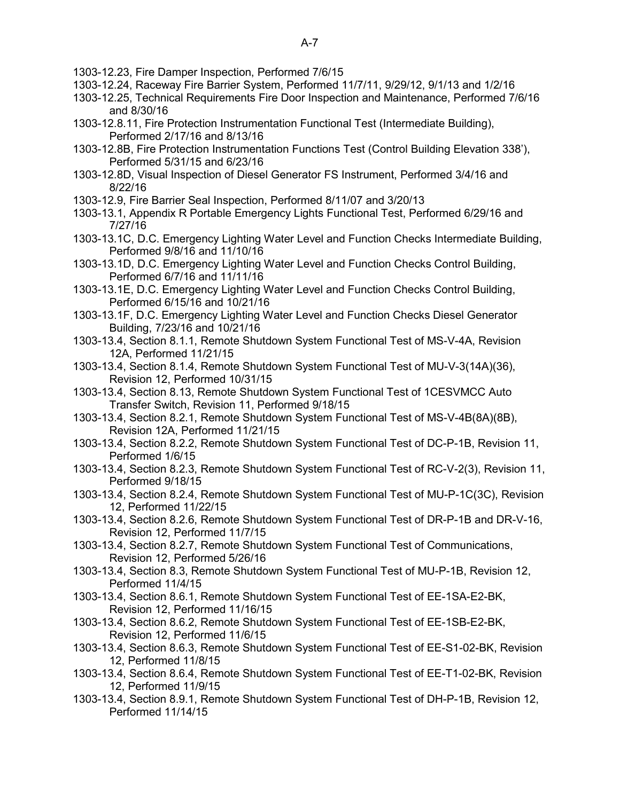- 1303-12.23, Fire Damper Inspection, Performed 7/6/15
- 1303-12.24, Raceway Fire Barrier System, Performed 11/7/11, 9/29/12, 9/1/13 and 1/2/16
- 1303-12.25, Technical Requirements Fire Door Inspection and Maintenance, Performed 7/6/16 and 8/30/16
- 1303-12.8.11, Fire Protection Instrumentation Functional Test (Intermediate Building), Performed 2/17/16 and 8/13/16
- 1303-12.8B, Fire Protection Instrumentation Functions Test (Control Building Elevation 338'), Performed 5/31/15 and 6/23/16
- 1303-12.8D, Visual Inspection of Diesel Generator FS Instrument, Performed 3/4/16 and 8/22/16
- 1303-12.9, Fire Barrier Seal Inspection, Performed 8/11/07 and 3/20/13
- 1303-13.1, Appendix R Portable Emergency Lights Functional Test, Performed 6/29/16 and 7/27/16
- 1303-13.1C, D.C. Emergency Lighting Water Level and Function Checks Intermediate Building, Performed 9/8/16 and 11/10/16
- 1303-13.1D, D.C. Emergency Lighting Water Level and Function Checks Control Building, Performed 6/7/16 and 11/11/16
- 1303-13.1E, D.C. Emergency Lighting Water Level and Function Checks Control Building, Performed 6/15/16 and 10/21/16
- 1303-13.1F, D.C. Emergency Lighting Water Level and Function Checks Diesel Generator Building, 7/23/16 and 10/21/16
- 1303-13.4, Section 8.1.1, Remote Shutdown System Functional Test of MS-V-4A, Revision 12A, Performed 11/21/15
- 1303-13.4, Section 8.1.4, Remote Shutdown System Functional Test of MU-V-3(14A)(36), Revision 12, Performed 10/31/15
- 1303-13.4, Section 8.13, Remote Shutdown System Functional Test of 1CESVMCC Auto Transfer Switch, Revision 11, Performed 9/18/15
- 1303-13.4, Section 8.2.1, Remote Shutdown System Functional Test of MS-V-4B(8A)(8B), Revision 12A, Performed 11/21/15
- 1303-13.4, Section 8.2.2, Remote Shutdown System Functional Test of DC-P-1B, Revision 11, Performed 1/6/15
- 1303-13.4, Section 8.2.3, Remote Shutdown System Functional Test of RC-V-2(3), Revision 11, Performed 9/18/15
- 1303-13.4, Section 8.2.4, Remote Shutdown System Functional Test of MU-P-1C(3C), Revision 12, Performed 11/22/15
- 1303-13.4, Section 8.2.6, Remote Shutdown System Functional Test of DR-P-1B and DR-V-16, Revision 12, Performed 11/7/15
- 1303-13.4, Section 8.2.7, Remote Shutdown System Functional Test of Communications, Revision 12, Performed 5/26/16
- 1303-13.4, Section 8.3, Remote Shutdown System Functional Test of MU-P-1B, Revision 12, Performed 11/4/15
- 1303-13.4, Section 8.6.1, Remote Shutdown System Functional Test of EE-1SA-E2-BK, Revision 12, Performed 11/16/15
- 1303-13.4, Section 8.6.2, Remote Shutdown System Functional Test of EE-1SB-E2-BK, Revision 12, Performed 11/6/15
- 1303-13.4, Section 8.6.3, Remote Shutdown System Functional Test of EE-S1-02-BK, Revision 12, Performed 11/8/15
- 1303-13.4, Section 8.6.4, Remote Shutdown System Functional Test of EE-T1-02-BK, Revision 12, Performed 11/9/15
- 1303-13.4, Section 8.9.1, Remote Shutdown System Functional Test of DH-P-1B, Revision 12, Performed 11/14/15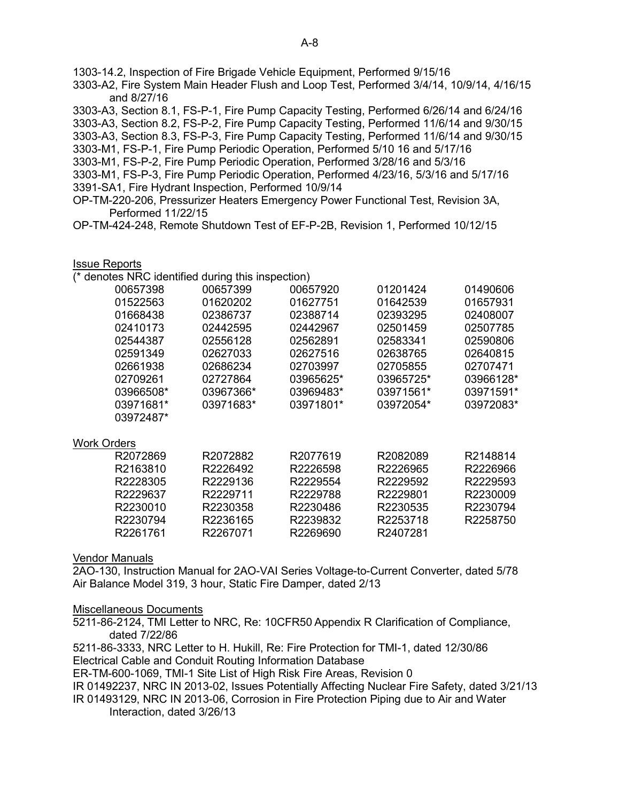1303-14.2, Inspection of Fire Brigade Vehicle Equipment, Performed 9/15/16

3303-A2, Fire System Main Header Flush and Loop Test, Performed 3/4/14, 10/9/14, 4/16/15 and 8/27/16

3303-A3, Section 8.1, FS-P-1, Fire Pump Capacity Testing, Performed 6/26/14 and 6/24/16 3303-A3, Section 8.2, FS-P-2, Fire Pump Capacity Testing, Performed 11/6/14 and 9/30/15 3303-A3, Section 8.3, FS-P-3, Fire Pump Capacity Testing, Performed 11/6/14 and 9/30/15 3303-M1, FS-P-1, Fire Pump Periodic Operation, Performed 5/10 16 and 5/17/16 3303-M1, FS-P-2, Fire Pump Periodic Operation, Performed 3/28/16 and 5/3/16 3303-M1, FS-P-3, Fire Pump Periodic Operation, Performed 4/23/16, 5/3/16 and 5/17/16 3391-SA1, Fire Hydrant Inspection, Performed 10/9/14 OP-TM-220-206, Pressurizer Heaters Emergency Power Functional Test, Revision 3A, Performed 11/22/15

OP-TM-424-248, Remote Shutdown Test of EF-P-2B, Revision 1, Performed 10/12/15

#### Issue Reports

(\* denotes NRC identified during this inspection)

| 00657398           | 00657399  | 00657920  | 01201424  | 01490606  |
|--------------------|-----------|-----------|-----------|-----------|
| 01522563           | 01620202  | 01627751  | 01642539  | 01657931  |
| 01668438           | 02386737  | 02388714  | 02393295  | 02408007  |
| 02410173           | 02442595  | 02442967  | 02501459  | 02507785  |
| 02544387           | 02556128  | 02562891  | 02583341  | 02590806  |
| 02591349           | 02627033  | 02627516  | 02638765  | 02640815  |
| 02661938           | 02686234  | 02703997  | 02705855  | 02707471  |
| 02709261           | 02727864  | 03965625* | 03965725* | 03966128* |
| 03966508*          | 03967366* | 03969483* | 03971561* | 03971591* |
| 03971681*          | 03971683* | 03971801* | 03972054* | 03972083* |
| 03972487*          |           |           |           |           |
| <b>Work Orders</b> |           |           |           |           |
| R2072869           | R2072882  | R2077619  | R2082089  | R2148814  |
| R2163810           | R2226492  | R2226598  | R2226965  | R2226966  |
| R2228305           | R2229136  | R2229554  | R2229592  | R2229593  |
| R2229637           | R2229711  | R2229788  | R2229801  | R2230009  |
| R2230010           | R2230358  | R2230486  | R2230535  | R2230794  |
|                    |           |           |           |           |

#### Vendor Manuals

2AO-130, Instruction Manual for 2AO-VAI Series Voltage-to-Current Converter, dated 5/78 Air Balance Model 319, 3 hour, Static Fire Damper, dated 2/13

R2230794 R2236165 R2239832 R2253718 R2258750

#### Miscellaneous Documents

5211-86-2124, TMI Letter to NRC, Re: 10CFR50 Appendix R Clarification of Compliance, dated 7/22/86

5211-86-3333, NRC Letter to H. Hukill, Re: Fire Protection for TMI-1, dated 12/30/86 Electrical Cable and Conduit Routing Information Database

R2261761 R2267071 R2269690 R2407281

ER-TM-600-1069, TMI-1 Site List of High Risk Fire Areas, Revision 0

IR 01492237, NRC IN 2013-02, Issues Potentially Affecting Nuclear Fire Safety, dated 3/21/13

IR 01493129, NRC IN 2013-06, Corrosion in Fire Protection Piping due to Air and Water Interaction, dated 3/26/13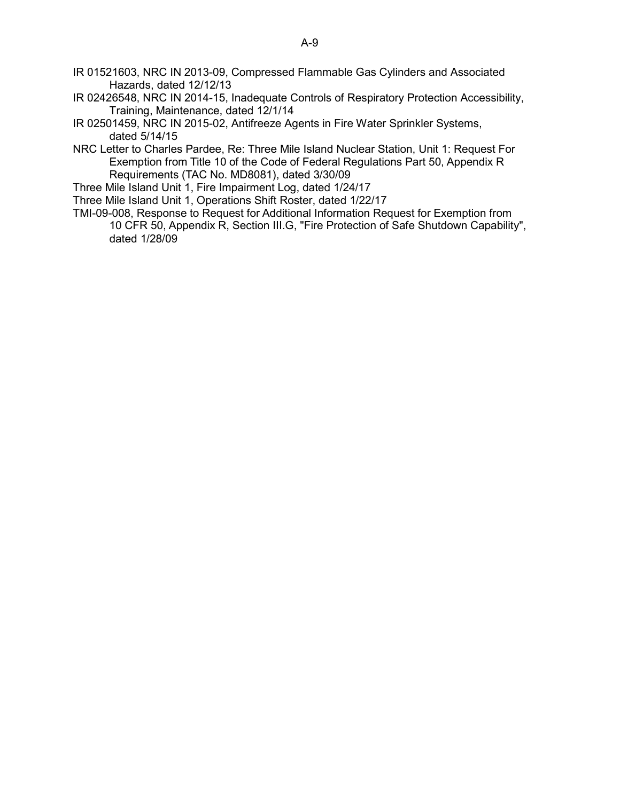- IR 01521603, NRC IN 2013-09, Compressed Flammable Gas Cylinders and Associated Hazards, dated 12/12/13
- IR 02426548, NRC IN 2014-15, Inadequate Controls of Respiratory Protection Accessibility, Training, Maintenance, dated 12/1/14
- IR 02501459, NRC IN 2015-02, Antifreeze Agents in Fire Water Sprinkler Systems, dated 5/14/15
- NRC Letter to Charles Pardee, Re: Three Mile Island Nuclear Station, Unit 1: Request For Exemption from Title 10 of the Code of Federal Regulations Part 50, Appendix R Requirements (TAC No. MD8081), dated 3/30/09
- Three Mile Island Unit 1, Fire Impairment Log, dated 1/24/17
- Three Mile Island Unit 1, Operations Shift Roster, dated 1/22/17
- TMI-09-008, Response to Request for Additional Information Request for Exemption from 10 CFR 50, Appendix R, Section III.G, "Fire Protection of Safe Shutdown Capability", dated 1/28/09